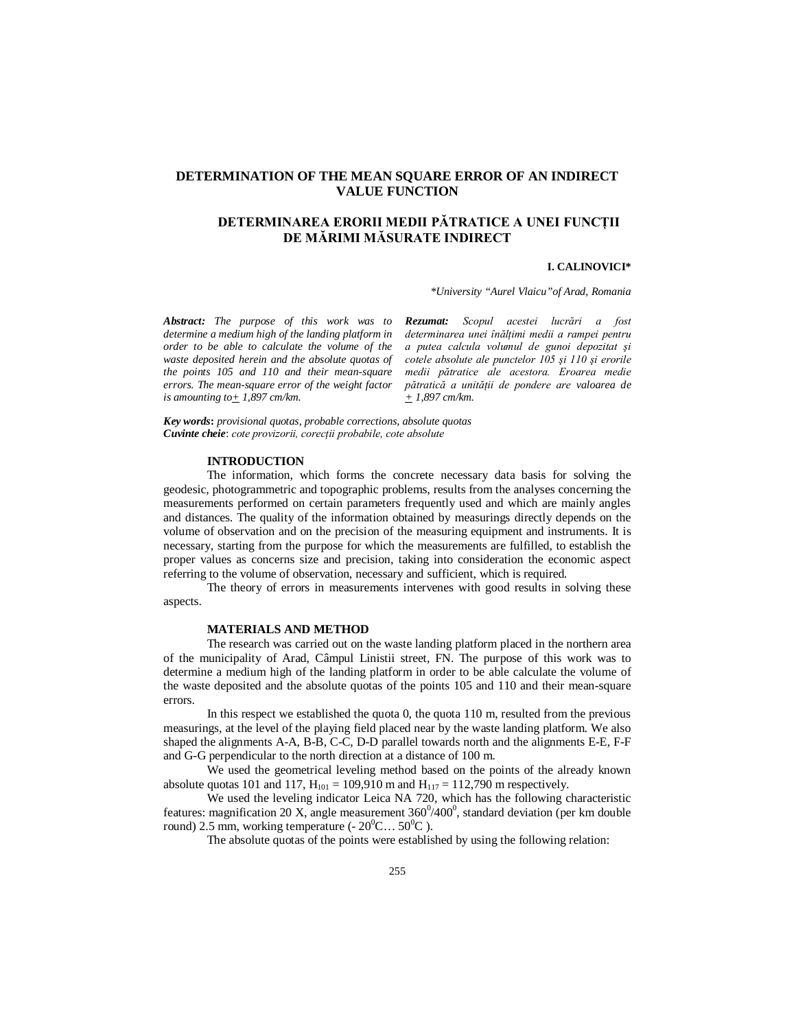# **DETERMINATION OF THE MEAN SQUARE ERROR OF AN INDIRECT VALUE FUNCTION**

# **DETERMINAREA ERORII MEDII PĂTRATICE A UNEI FUNCŢII DE MĂRIMI MĂSURATE INDIRECT**

#### **I. CALINOVICI\***

*\*University "Aurel Vlaicu"of Arad, Romania*

*Abstract: The purpose of this work was to determine a medium high of the landing platform in order to be able to calculate the volume of the waste deposited herein and the absolute quotas of the points 105 and 110 and their mean-square errors. The mean-square error of the weight factor is amounting to* $+ 1,897$  *cm/km.* 

*Rezumat: Scopul acestei lucrări a fost determinarea unei înălţimi medii a rampei pentru a putea calcula volumul de gunoi depozitat şi cotele absolute ale punctelor 105 şi 110 şi erorile medii pătratice ale acestora. Eroarea medie pătratică a unităţii de pondere are valoarea de + 1,897 cm/km.*

*Key words***:** *provisional quotas, probable corrections, absolute quotas Cuvinte cheie*: *cote provizorii, corecţii probabile, cote absolute*

### **INTRODUCTION**

The information, which forms the concrete necessary data basis for solving the geodesic, photogrammetric and topographic problems, results from the analyses concerning the measurements performed on certain parameters frequently used and which are mainly angles and distances. The quality of the information obtained by measurings directly depends on the volume of observation and on the precision of the measuring equipment and instruments. It is necessary, starting from the purpose for which the measurements are fulfilled, to establish the proper values as concerns size and precision, taking into consideration the economic aspect referring to the volume of observation, necessary and sufficient, which is required.

The theory of errors in measurements intervenes with good results in solving these aspects.

# **MATERIALS AND METHOD**

The research was carried out on the waste landing platform placed in the northern area of the municipality of Arad, Câmpul Linistii street, FN. The purpose of this work was to determine a medium high of the landing platform in order to be able calculate the volume of the waste deposited and the absolute quotas of the points 105 and 110 and their mean-square errors.

In this respect we established the quota 0, the quota 110 m, resulted from the previous measurings, at the level of the playing field placed near by the waste landing platform. We also shaped the alignments A-A, B-B, C-C, D-D parallel towards north and the alignments E-E, F-F and G-G perpendicular to the north direction at a distance of 100 m.

We used the geometrical leveling method based on the points of the already known absolute quotas 101 and 117,  $H_{101} = 109,910$  m and  $H_{117} = 112,790$  m respectively.

We used the leveling indicator Leica NA 720, which has the following characteristic features: magnification 20 X, angle measurement  $360^{\circ}/400^{\circ}$ , standard deviation (per km double round) 2.5 mm, working temperature (-  $20^0$ C…  $50^0$ C).

The absolute quotas of the points were established by using the following relation: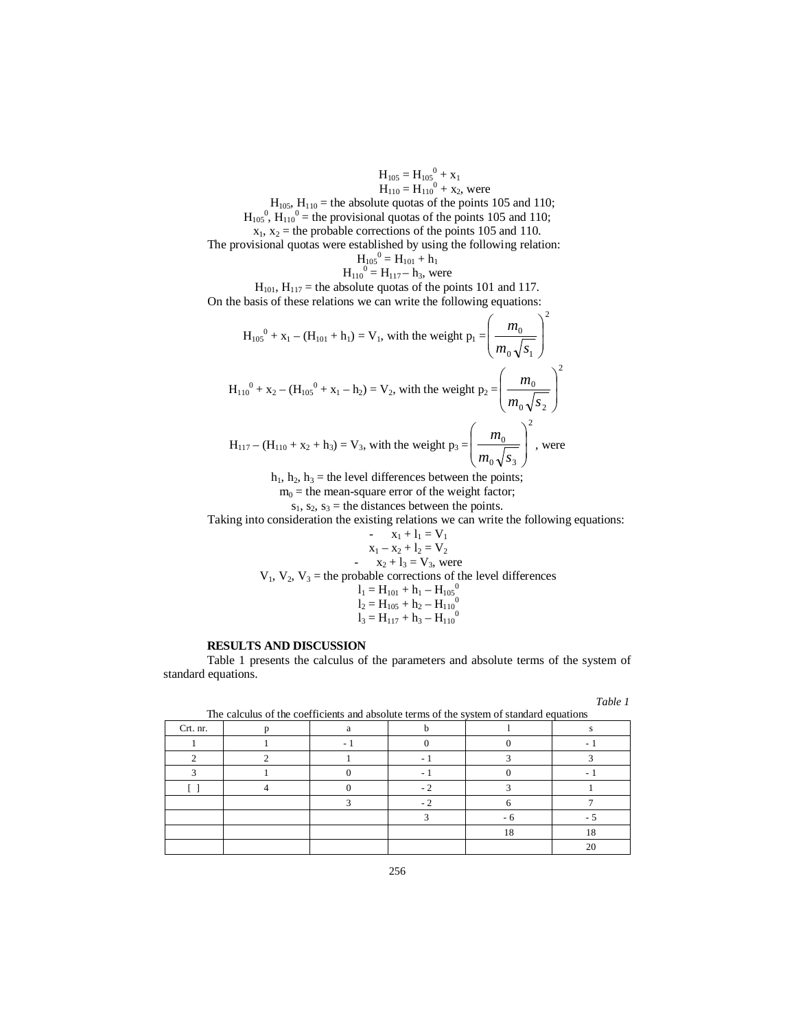$$
H_{105} = H_{105}^{0} + x_1
$$
  
\n $H_{110} = H_{110}^{0} + x_2$ , were

 $H_{105}$ ,  $H_{110}$  = the absolute quotas of the points 105 and 110;  $H_{105}$ <sup>0</sup>,  $H_{110}$ <sup>0</sup> = the provisional quotas of the points 105 and 110;

 $x_1, x_2$  = the probable corrections of the points 105 and 110.

The provisional quotas were established by using the following relation:

$$
H_{105}^{0} = H_{101} + h_1
$$
  
\n $H_{110}^{0} = H_{117} - h_3$ , were

 $H_{101}$ ,  $H_{117}$  = the absolute quotas of the points 101 and 117. On the basis of these relations we can write the following equations:

$$
H_{10s}^{0} + x_{1} - (H_{101} + h_{1}) = V_{1}, \text{ with the weight } p_{1} = \left(\frac{m_{0}}{m_{0}\sqrt{s_{1}}}\right)^{2}
$$
  

$$
H_{110}^{0} + x_{2} - (H_{10s}^{0} + x_{1} - h_{2}) = V_{2}, \text{ with the weight } p_{2} = \left(\frac{m_{0}}{m_{0}\sqrt{s_{2}}}\right)^{2}
$$
  

$$
H_{117} - (H_{110} + x_{2} + h_{3}) = V_{3}, \text{ with the weight } p_{3} = \left(\frac{m_{0}}{m_{0}\sqrt{s_{3}}}\right)^{2}, \text{ were}
$$

 $h_1$ ,  $h_2$ ,  $h_3$  = the level differences between the points;

 $m_0$  = the mean-square error of the weight factor;

 $s_1$ ,  $s_2$ ,  $s_3$  = the distances between the points.

Taking into consideration the existing relations we can write the following equations:  $-1$   $\bar{v}$ 

$$
x_1 + 1_1 = v_1
$$
  
\n
$$
x_1 - x_2 + 1_2 = V_2
$$
  
\n
$$
x_2 + 1_3 = V_3
$$
, were  
\n
$$
1_1 = H_{101} + h_1 - H_{105}^0
$$
  
\n
$$
1_2 = H_{105} + h_2 - H_{110}^0
$$
  
\n
$$
1_3 = H_{117} + h_3 - H_{110}^0
$$

### **RESULTS AND DISCUSSION**

Table 1 presents the calculus of the parameters and absolute terms of the system of standard equations.

| m |  |
|---|--|
|---|--|

| The calculus of the coefficients and absolute terms of the system of standard equations |  |  |  |    |    |  |  |  |
|-----------------------------------------------------------------------------------------|--|--|--|----|----|--|--|--|
| Crt. nr.                                                                                |  |  |  |    |    |  |  |  |
|                                                                                         |  |  |  |    |    |  |  |  |
|                                                                                         |  |  |  |    |    |  |  |  |
|                                                                                         |  |  |  |    |    |  |  |  |
|                                                                                         |  |  |  |    |    |  |  |  |
|                                                                                         |  |  |  |    |    |  |  |  |
|                                                                                         |  |  |  |    |    |  |  |  |
|                                                                                         |  |  |  | 18 | 18 |  |  |  |
|                                                                                         |  |  |  |    | 20 |  |  |  |

The calculus of the coefficients and absolute terms of the system of standard equations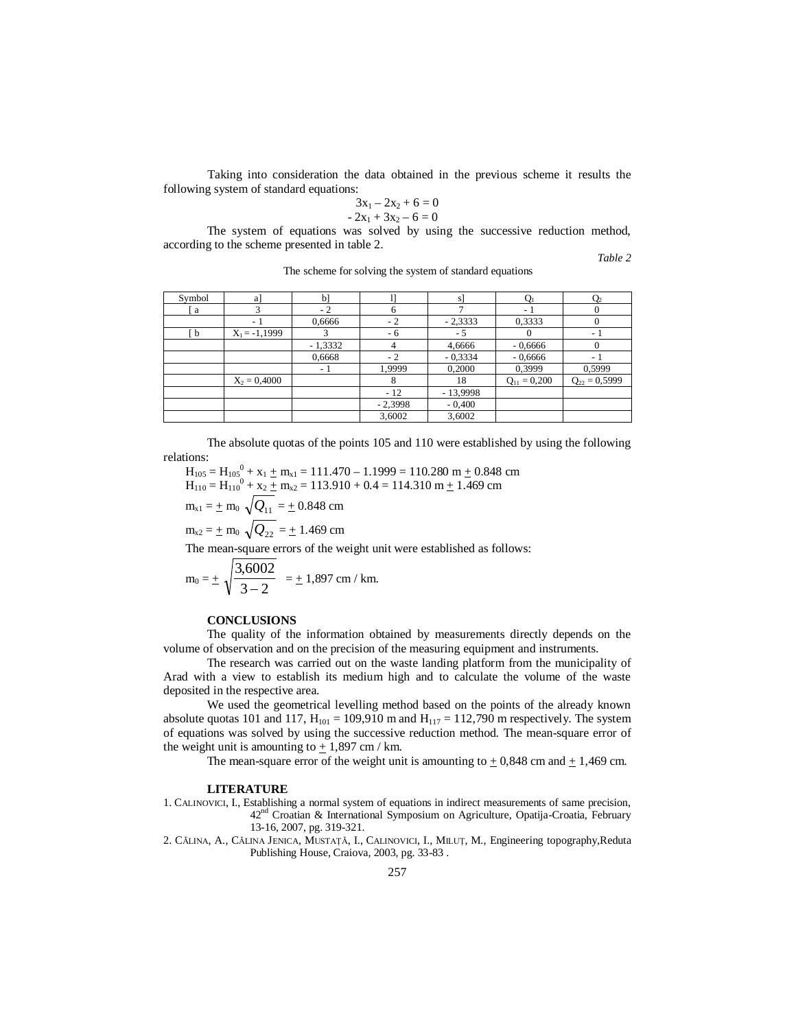Taking into consideration the data obtained in the previous scheme it results the following system of standard equations:

$$
3x_1 - 2x_2 + 6 = 0
$$
  
- 2x<sub>1</sub> + 3x<sub>2</sub> - 6 = 0

The system of equations was solved by using the successive reduction method, according to the scheme presented in table 2.

*Table 2*

| Symbol | a]                       | $b$ ]     |           | sl         |                  |                          |
|--------|--------------------------|-----------|-----------|------------|------------------|--------------------------|
| a      |                          | $-2$      |           |            |                  |                          |
|        | $\overline{\phantom{a}}$ | 0,6666    | $-2$      | $-2,3333$  | 0,3333           |                          |
| b.     | $X_1 = -1,1999$          |           | - 6       | - 5        |                  | $\overline{\phantom{a}}$ |
|        |                          | $-1,3332$ |           | 4,6666     | $-0,6666$        |                          |
|        |                          | 0,6668    | - 2       | $-0,3334$  | $-0,6666$        |                          |
|        |                          | - 1       | 1,9999    | 0,2000     | 0,3999           | 0,5999                   |
|        | $X_2 = 0,4000$           |           |           | 18         | $Q_{11} = 0,200$ | $Q_{22} = 0,5999$        |
|        |                          |           | $-12$     | $-13,9998$ |                  |                          |
|        |                          |           | $-2,3998$ | $-0,400$   |                  |                          |
|        |                          |           | 3,6002    | 3,6002     |                  |                          |

The scheme for solving the system of standard equations

The absolute quotas of the points 105 and 110 were established by using the following relations:

 $H_{105} = H_{105}^0 + x_1 + m_{x1} = 111.470 - 1.1999 = 110.280$  m  $+ 0.848$  cm  $H_{110} = H_{110}^{0} + x_2 + m_{x2} = 113.910 + 0.4 = 114.310 m + 1.469 cm$ 

$$
m_{x1} = \pm m_0 \sqrt{Q_{11}} = \pm 0.848
$$
 cm

$$
m_{x2} = \pm m_0 \sqrt{Q_{22}} = \pm 1.469
$$
 cm

The mean-square errors of the weight unit were established as follows:

$$
m_0 = \pm \sqrt{\frac{3,6002}{3-2}} = \pm 1,897 \text{ cm} / \text{ km}.
$$

#### **CONCLUSIONS**

The quality of the information obtained by measurements directly depends on the volume of observation and on the precision of the measuring equipment and instruments.

The research was carried out on the waste landing platform from the municipality of Arad with a view to establish its medium high and to calculate the volume of the waste deposited in the respective area.

We used the geometrical levelling method based on the points of the already known absolute quotas 101 and 117,  $H_{101} = 109,910$  m and  $H_{117} = 112,790$  m respectively. The system of equations was solved by using the successive reduction method. The mean-square error of the weight unit is amounting to  $+1,897$  cm / km.

The mean-square error of the weight unit is amounting to  $\pm$  0,848 cm and  $\pm$  1,469 cm.

#### **LITERATURE**

1. CALINOVICI, I., Establishing a normal system of equations in indirect measurements of same precision, 42nd Croatian & International Symposium on Agriculture, Opatija-Croatia, February 13-16, 2007, pg. 319-321.

2. CĂLINA, A., CĂLINA JENICA, MUSTAŢĂ, I., CALINOVICI, I., MILUŢ, M., Engineering topography,Reduta Publishing House, Craiova, 2003, pg. 33-83 .